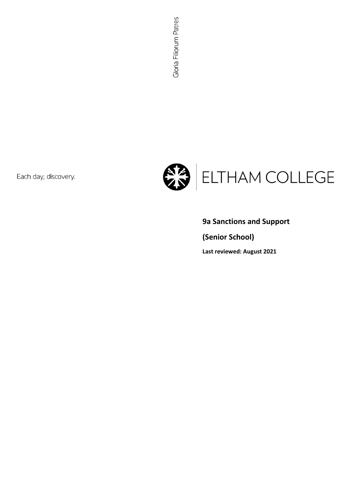Each day, discovery.



# **9a Sanctions and Support**

**(Senior School)**

**Last reviewed: August 2021**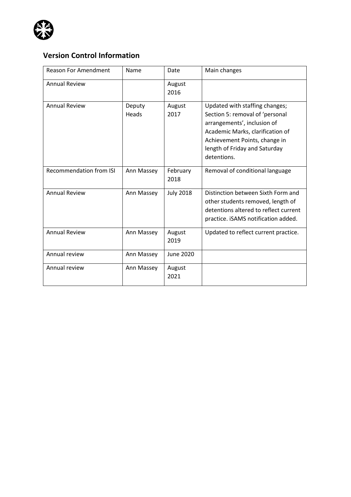

# **Version Control Information**

| <b>Reason For Amendment</b>    | Name            | Date             | Main changes                                                                                                                                                                                                          |
|--------------------------------|-----------------|------------------|-----------------------------------------------------------------------------------------------------------------------------------------------------------------------------------------------------------------------|
| <b>Annual Review</b>           |                 | August<br>2016   |                                                                                                                                                                                                                       |
| <b>Annual Review</b>           | Deputy<br>Heads | August<br>2017   | Updated with staffing changes;<br>Section 5: removal of 'personal<br>arrangements', inclusion of<br>Academic Marks, clarification of<br>Achievement Points, change in<br>length of Friday and Saturday<br>detentions. |
| <b>Recommendation from ISI</b> | Ann Massey      | February<br>2018 | Removal of conditional language                                                                                                                                                                                       |
| <b>Annual Review</b>           | Ann Massey      | <b>July 2018</b> | Distinction between Sixth Form and<br>other students removed, length of<br>detentions altered to reflect current<br>practice. iSAMS notification added.                                                               |
| <b>Annual Review</b>           | Ann Massey      | August<br>2019   | Updated to reflect current practice.                                                                                                                                                                                  |
| Annual review                  | Ann Massey      | June 2020        |                                                                                                                                                                                                                       |
| Annual review                  | Ann Massey      | August<br>2021   |                                                                                                                                                                                                                       |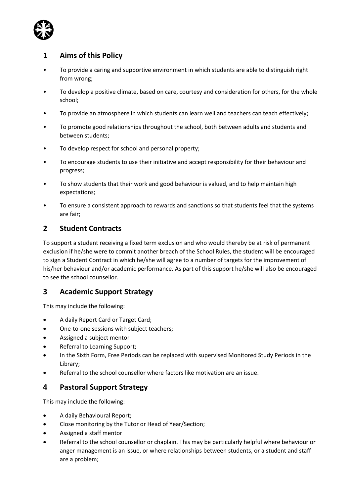

# **1 Aims of this Policy**

- To provide a caring and supportive environment in which students are able to distinguish right from wrong;
- To develop a positive climate, based on care, courtesy and consideration for others, for the whole school;
- To provide an atmosphere in which students can learn well and teachers can teach effectively;
- To promote good relationships throughout the school, both between adults and students and between students;
- To develop respect for school and personal property;
- To encourage students to use their initiative and accept responsibility for their behaviour and progress;
- To show students that their work and good behaviour is valued, and to help maintain high expectations;
- To ensure a consistent approach to rewards and sanctions so that students feel that the systems are fair;

# **2 Student Contracts**

To support a student receiving a fixed term exclusion and who would thereby be at risk of permanent exclusion if he/she were to commit another breach of the School Rules, the student will be encouraged to sign a Student Contract in which he/she will agree to a number of targets for the improvement of his/her behaviour and/or academic performance. As part of this support he/she will also be encouraged to see the school counsellor.

# **3 Academic Support Strategy**

This may include the following:

- A daily Report Card or Target Card;
- One-to-one sessions with subject teachers;
- Assigned a subject mentor
- Referral to Learning Support;
- In the Sixth Form, Free Periods can be replaced with supervised Monitored Study Periods in the Library;
- Referral to the school counsellor where factors like motivation are an issue.

# **4 Pastoral Support Strategy**

This may include the following:

- A daily Behavioural Report;
- Close monitoring by the Tutor or Head of Year/Section;
- Assigned a staff mentor
- Referral to the school counsellor or chaplain. This may be particularly helpful where behaviour or anger management is an issue, or where relationships between students, or a student and staff are a problem;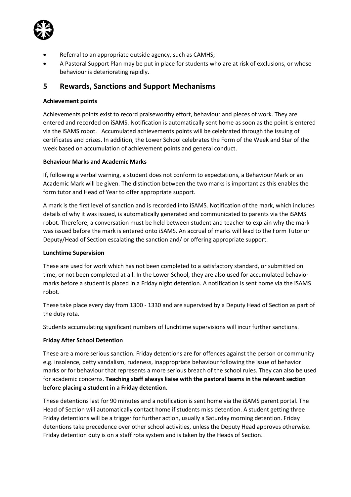

- Referral to an appropriate outside agency, such as CAMHS;
- A Pastoral Support Plan may be put in place for students who are at risk of exclusions, or whose behaviour is deteriorating rapidly.

# **5 Rewards, Sanctions and Support Mechanisms**

### **Achievement points**

Achievements points exist to record praiseworthy effort, behaviour and pieces of work. They are entered and recorded on iSAMS. Notification is automatically sent home as soon as the point is entered via the iSAMS robot. Accumulated achievements points will be celebrated through the issuing of certificates and prizes. In addition, the Lower School celebrates the Form of the Week and Star of the week based on accumulation of achievement points and general conduct.

#### **Behaviour Marks and Academic Marks**

If, following a verbal warning, a student does not conform to expectations, a Behaviour Mark or an Academic Mark will be given. The distinction between the two marks is important as this enables the form tutor and Head of Year to offer appropriate support.

A mark is the first level of sanction and is recorded into iSAMS. Notification of the mark, which includes details of why it was issued, is automatically generated and communicated to parents via the iSAMS robot. Therefore, a conversation must be held between student and teacher to explain why the mark was issued before the mark is entered onto iSAMS. An accrual of marks will lead to the Form Tutor or Deputy/Head of Section escalating the sanction and/ or offering appropriate support.

#### **Lunchtime Supervision**

These are used for work which has not been completed to a satisfactory standard, or submitted on time, or not been completed at all. In the Lower School, they are also used for accumulated behavior marks before a student is placed in a Friday night detention. A notification is sent home via the iSAMS robot.

These take place every day from 1300 - 1330 and are supervised by a Deputy Head of Section as part of the duty rota.

Students accumulating significant numbers of lunchtime supervisions will incur further sanctions.

### **Friday After School Detention**

These are a more serious sanction. Friday detentions are for offences against the person or community e.g. insolence, petty vandalism, rudeness, inappropriate behaviour following the issue of behavior marks or for behaviour that represents a more serious breach of the school rules. They can also be used for academic concerns. **Teaching staff always liaise with the pastoral teams in the relevant section before placing a student in a Friday detention.**

These detentions last for 90 minutes and a notification is sent home via the iSAMS parent portal. The Head of Section will automatically contact home if students miss detention. A student getting three Friday detentions will be a trigger for further action, usually a Saturday morning detention. Friday detentions take precedence over other school activities, unless the Deputy Head approves otherwise. Friday detention duty is on a staff rota system and is taken by the Heads of Section.